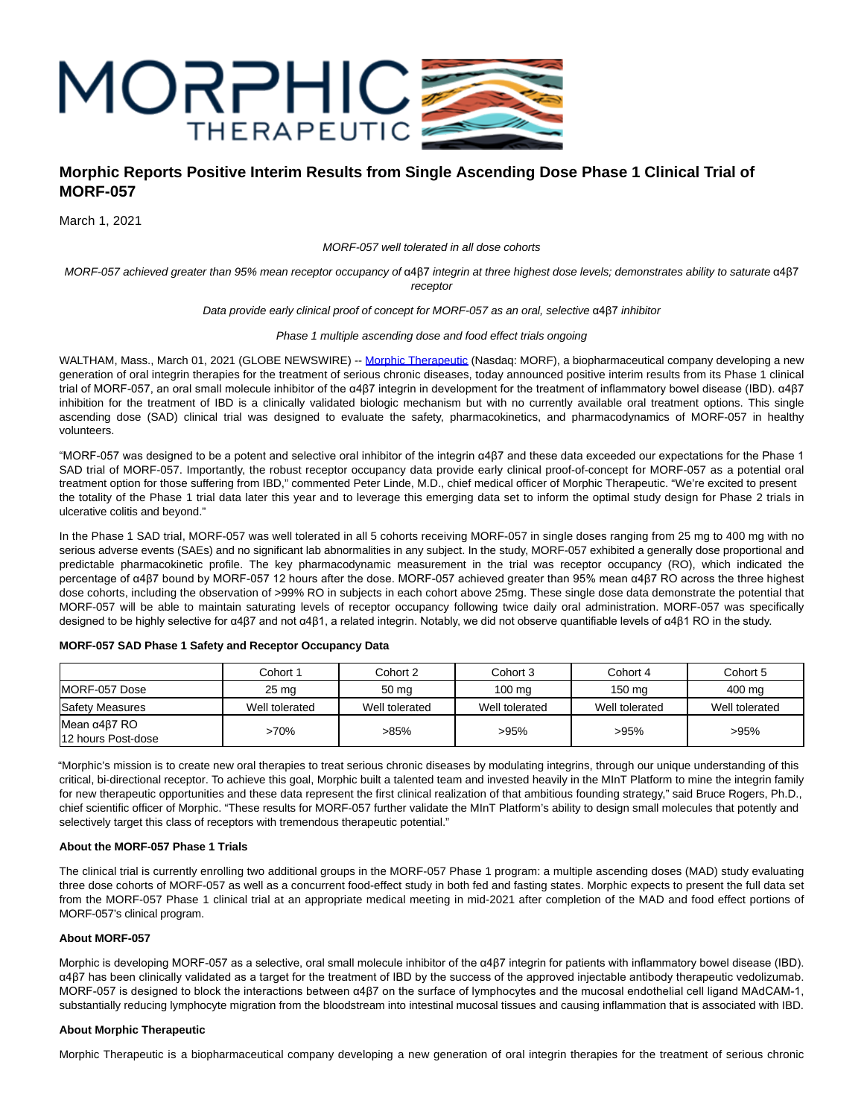

# **Morphic Reports Positive Interim Results from Single Ascending Dose Phase 1 Clinical Trial of MORF-057**

March 1, 2021

MORF-057 well tolerated in all dose cohorts

MORF-057 achieved greater than 95% mean receptor occupancy of α4β7 integrin at three highest dose levels; demonstrates ability to saturate α4β7 receptor

Data provide early clinical proof of concept for MORF-057 as an oral, selective α4β7 inhibitor

Phase 1 multiple ascending dose and food effect trials ongoing

WALTHAM, Mass., March 01, 2021 (GLOBE NEWSWIRE) -- [Morphic Therapeutic \(](https://www.globenewswire.com/Tracker?data=Gsapobdlymi9WM6Rpx7c4ai7wZfljVSrPiA85yWGyBa2DDveMzUSKfm7Z92eeopIW7uZFIuOiit1QiTXr2jKuw==)Nasdaq: MORF), a biopharmaceutical company developing a new generation of oral integrin therapies for the treatment of serious chronic diseases, today announced positive interim results from its Phase 1 clinical trial of MORF-057, an oral small molecule inhibitor of the α4β7 integrin in development for the treatment of inflammatory bowel disease (IBD). α4β7 inhibition for the treatment of IBD is a clinically validated biologic mechanism but with no currently available oral treatment options. This single ascending dose (SAD) clinical trial was designed to evaluate the safety, pharmacokinetics, and pharmacodynamics of MORF-057 in healthy volunteers.

"MORF-057 was designed to be a potent and selective oral inhibitor of the integrin α4β7 and these data exceeded our expectations for the Phase 1 SAD trial of MORF-057. Importantly, the robust receptor occupancy data provide early clinical proof-of-concept for MORF-057 as a potential oral treatment option for those suffering from IBD," commented Peter Linde, M.D., chief medical officer of Morphic Therapeutic. "We're excited to present the totality of the Phase 1 trial data later this year and to leverage this emerging data set to inform the optimal study design for Phase 2 trials in ulcerative colitis and beyond."

In the Phase 1 SAD trial, MORF-057 was well tolerated in all 5 cohorts receiving MORF-057 in single doses ranging from 25 mg to 400 mg with no serious adverse events (SAEs) and no significant lab abnormalities in any subject. In the study, MORF-057 exhibited a generally dose proportional and predictable pharmacokinetic profile. The key pharmacodynamic measurement in the trial was receptor occupancy (RO), which indicated the percentage of α4β7 bound by MORF-057 12 hours after the dose. MORF-057 achieved greater than 95% mean α4β7 RO across the three highest dose cohorts, including the observation of >99% RO in subjects in each cohort above 25mg. These single dose data demonstrate the potential that MORF-057 will be able to maintain saturating levels of receptor occupancy following twice daily oral administration. MORF-057 was specifically designed to be highly selective for α4β7 and not α4β1, a related integrin. Notably, we did not observe quantifiable levels of α4β1 RO in the study.

|                                                     | Cohort 1       | Cohort 2       | Cohort 3         | Cohort 4       | Cohort 5       |
|-----------------------------------------------------|----------------|----------------|------------------|----------------|----------------|
| MORF-057 Dose                                       | 25 ma          | 50 mg          | $100 \text{ mg}$ | 150 mg         | 400 mg         |
| Safety Measures                                     | Well tolerated | Well tolerated | Well tolerated   | Well tolerated | Well tolerated |
| Mean $\alpha$ 4 $\beta$ 7 RO<br>112 hours Post-dose | >70%           | >85%           | >95%             | >95%           | >95%           |

## **MORF-057 SAD Phase 1 Safety and Receptor Occupancy Data**

"Morphic's mission is to create new oral therapies to treat serious chronic diseases by modulating integrins, through our unique understanding of this critical, bi-directional receptor. To achieve this goal, Morphic built a talented team and invested heavily in the MInT Platform to mine the integrin family for new therapeutic opportunities and these data represent the first clinical realization of that ambitious founding strategy," said Bruce Rogers, Ph.D., chief scientific officer of Morphic. "These results for MORF-057 further validate the MInT Platform's ability to design small molecules that potently and selectively target this class of receptors with tremendous therapeutic potential."

## **About the MORF-057 Phase 1 Trials**

The clinical trial is currently enrolling two additional groups in the MORF-057 Phase 1 program: a multiple ascending doses (MAD) study evaluating three dose cohorts of MORF-057 as well as a concurrent food-effect study in both fed and fasting states. Morphic expects to present the full data set from the MORF-057 Phase 1 clinical trial at an appropriate medical meeting in mid-2021 after completion of the MAD and food effect portions of MORF-057's clinical program.

## **About MORF-057**

Morphic is developing MORF-057 as a selective, oral small molecule inhibitor of the α4β7 integrin for patients with inflammatory bowel disease (IBD). α4β7 has been clinically validated as a target for the treatment of IBD by the success of the approved injectable antibody therapeutic vedolizumab. MORF-057 is designed to block the interactions between α4β7 on the surface of lymphocytes and the mucosal endothelial cell ligand MAdCAM-1, substantially reducing lymphocyte migration from the bloodstream into intestinal mucosal tissues and causing inflammation that is associated with IBD.

#### **About Morphic Therapeutic**

Morphic Therapeutic is a biopharmaceutical company developing a new generation of oral integrin therapies for the treatment of serious chronic